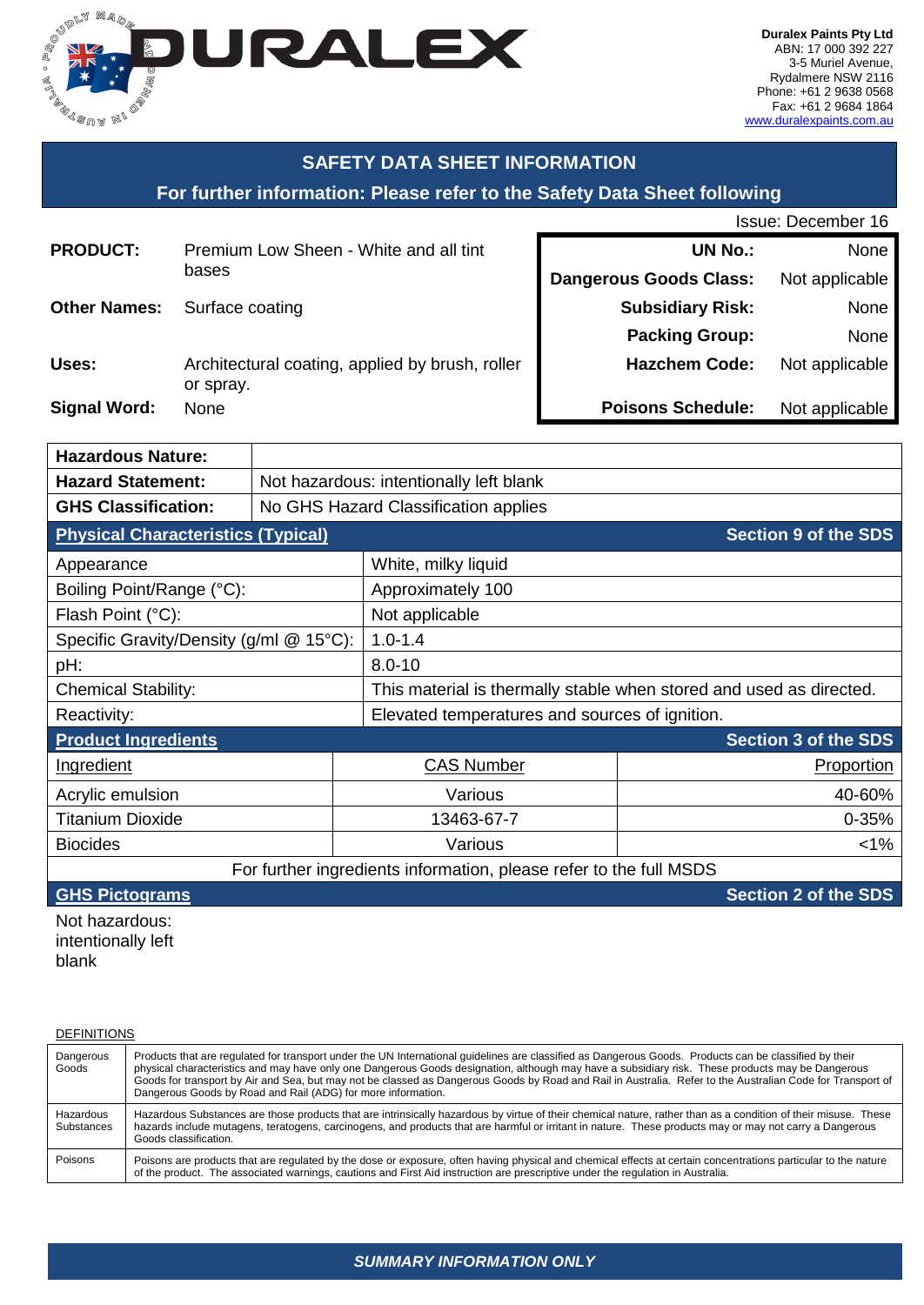

 $\mathbf{I}$ 

# **SAFETY DATA SHEET INFORMATION**

## **For further information: Please refer to the Safety Data Sheet following**

| <b>Issue: December 16</b> |  |
|---------------------------|--|
|---------------------------|--|

| <b>PRODUCT:</b>     | Premium Low Sheen - White and all tint                       | <b>UN No.:</b>                | None           |
|---------------------|--------------------------------------------------------------|-------------------------------|----------------|
|                     | bases                                                        | <b>Dangerous Goods Class:</b> | Not applicable |
| <b>Other Names:</b> | Surface coating                                              | <b>Subsidiary Risk:</b>       | None           |
|                     |                                                              | <b>Packing Group:</b>         | None           |
| Uses:               | Architectural coating, applied by brush, roller<br>or spray. | <b>Hazchem Code:</b>          | Not applicable |
| <b>Signal Word:</b> | None                                                         | <b>Poisons Schedule:</b>      | Not applicable |

| <b>Hazardous Nature:</b>                  |                                         |                                                                     |                             |  |
|-------------------------------------------|-----------------------------------------|---------------------------------------------------------------------|-----------------------------|--|
| <b>Hazard Statement:</b>                  | Not hazardous: intentionally left blank |                                                                     |                             |  |
| <b>GHS Classification:</b>                | No GHS Hazard Classification applies    |                                                                     |                             |  |
| <b>Physical Characteristics (Typical)</b> |                                         |                                                                     | <b>Section 9 of the SDS</b> |  |
| Appearance                                |                                         | White, milky liquid                                                 |                             |  |
| Boiling Point/Range (°C):                 |                                         | Approximately 100                                                   |                             |  |
| Flash Point (°C):                         |                                         | Not applicable                                                      |                             |  |
| Specific Gravity/Density (g/ml @ 15°C):   |                                         | $1.0 - 1.4$                                                         |                             |  |
| pH:                                       | $8.0 - 10$                              |                                                                     |                             |  |
| <b>Chemical Stability:</b>                |                                         | This material is thermally stable when stored and used as directed. |                             |  |
| Reactivity:                               |                                         | Elevated temperatures and sources of ignition.                      |                             |  |
| <b>Product Ingredients</b>                |                                         |                                                                     | <b>Section 3 of the SDS</b> |  |
| Ingredient                                | <b>CAS Number</b>                       |                                                                     | Proportion                  |  |
| Acrylic emulsion                          | Various                                 |                                                                     | 40-60%                      |  |
| <b>Titanium Dioxide</b>                   | 13463-67-7                              |                                                                     | $0 - 35%$                   |  |
| <b>Biocides</b>                           | $1\%$<br>Various                        |                                                                     |                             |  |
|                                           |                                         | For further ingredients information, please refer to the full MSDS  |                             |  |

**GHS Pictograms CONS GHS Pictograms Section 2 of the SDS** 

Not hazardous: intentionally left blank

| <b>DEFINITIONS</b>      |                                                                                                                                                                                                                                                                                                                                                                                                                                                                                                                                          |
|-------------------------|------------------------------------------------------------------------------------------------------------------------------------------------------------------------------------------------------------------------------------------------------------------------------------------------------------------------------------------------------------------------------------------------------------------------------------------------------------------------------------------------------------------------------------------|
| Dangerous<br>Goods      | Products that are regulated for transport under the UN International quidelines are classified as Dangerous Goods. Products can be classified by their<br>physical characteristics and may have only one Dangerous Goods designation, although may have a subsidiary risk. These products may be Dangerous<br>Goods for transport by Air and Sea, but may not be classed as Dangerous Goods by Road and Rail in Australia. Refer to the Australian Code for Transport of<br>Dangerous Goods by Road and Rail (ADG) for more information. |
| Hazardous<br>Substances | Hazardous Substances are those products that are intrinsically hazardous by virtue of their chemical nature, rather than as a condition of their misuse. These<br>hazards include mutagens, teratogens, carcinogens, and products that are harmful or irritant in nature. These products may or may not carry a Dangerous<br>Goods classification.                                                                                                                                                                                       |
| Poisons                 | Poisons are products that are regulated by the dose or exposure, often having physical and chemical effects at certain concentrations particular to the nature<br>of the product. The associated warnings, cautions and First Aid instruction are prescriptive under the regulation in Australia.                                                                                                                                                                                                                                        |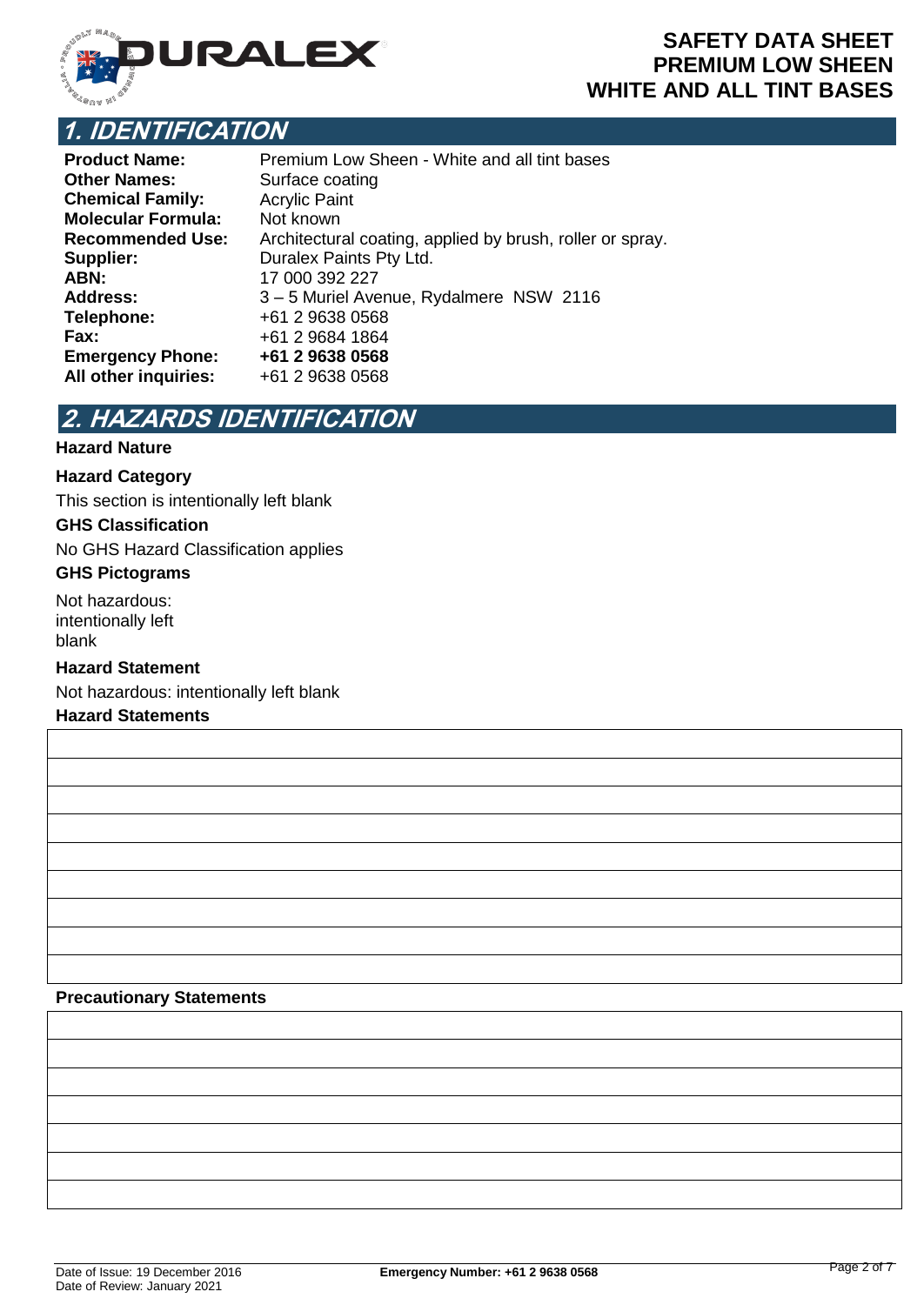

## **SAFETY DATA SHEET PREMIUM LOW SHEEN WHITE AND ALL TINT BASES**

## **1. IDENTIFICATION**

| <b>Product Name:</b>      | Premium Low Sheen - White and all tint bases              |
|---------------------------|-----------------------------------------------------------|
| <b>Other Names:</b>       | Surface coating                                           |
| <b>Chemical Family:</b>   | <b>Acrylic Paint</b>                                      |
| <b>Molecular Formula:</b> | Not known                                                 |
| <b>Recommended Use:</b>   | Architectural coating, applied by brush, roller or spray. |
| Supplier:                 | Duralex Paints Pty Ltd.                                   |
| ABN:                      | 17 000 392 227                                            |
| <b>Address:</b>           | 3-5 Muriel Avenue, Rydalmere NSW 2116                     |
| Telephone:                | +61 2 9638 0568                                           |
| Fax:                      | +61 2 9684 1864                                           |
| <b>Emergency Phone:</b>   | +61 2 9638 0568                                           |
| All other inquiries:      | +61 2 9638 0568                                           |

# **2. HAZARDS IDENTIFICATION**

## **Hazard Nature**

#### **Hazard Category**

This section is intentionally left blank

#### **GHS Classification**

No GHS Hazard Classification applies

#### **GHS Pictograms**

Not hazardous: intentionally left blank

#### **Hazard Statement**

Not hazardous: intentionally left blank

#### **Hazard Statements**

## **Precautionary Statements**

Date of Issue: 19 December 2016 **Emergency Number: +61 2 9638 0568** Date of Review: January 2021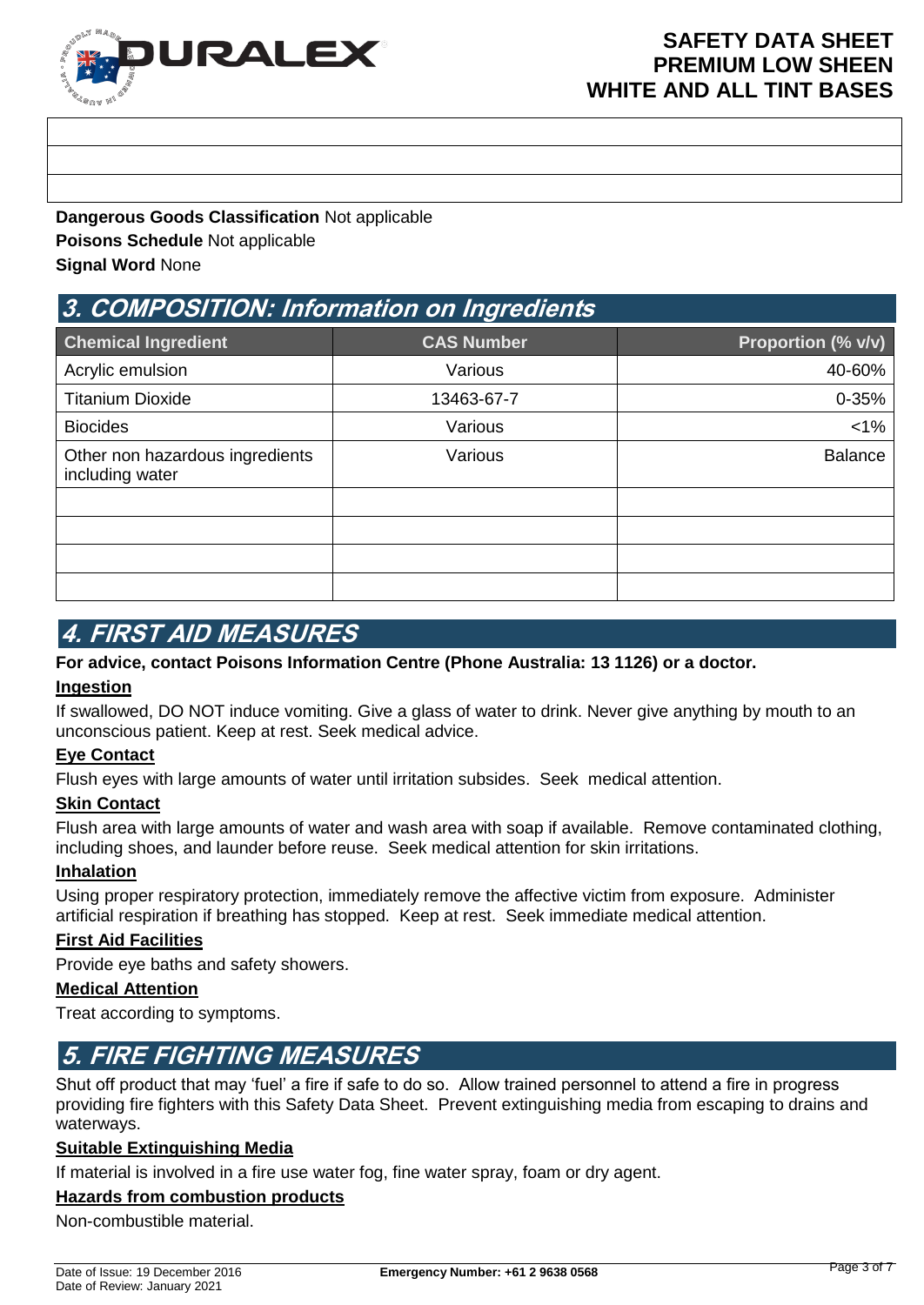

**Dangerous Goods Classification** Not applicable **Poisons Schedule** Not applicable **Signal Word** None

## **3. COMPOSITION: Information on Ingredients**

| <b>Chemical Ingredient</b>                         | <b>CAS Number</b> | Proportion (% v/v) |
|----------------------------------------------------|-------------------|--------------------|
| Acrylic emulsion                                   | Various           | 40-60%             |
| <b>Titanium Dioxide</b>                            | 13463-67-7        | $0 - 35%$          |
| <b>Biocides</b>                                    | Various           | $< 1\%$            |
| Other non hazardous ingredients<br>including water | Various           | <b>Balance</b>     |
|                                                    |                   |                    |
|                                                    |                   |                    |
|                                                    |                   |                    |
|                                                    |                   |                    |

## **4. FIRST AID MEASURES**

## **For advice, contact Poisons Information Centre (Phone Australia: 13 1126) or a doctor.**

## **Ingestion**

If swallowed, DO NOT induce vomiting. Give a glass of water to drink. Never give anything by mouth to an unconscious patient. Keep at rest. Seek medical advice.

## **Eye Contact**

Flush eyes with large amounts of water until irritation subsides. Seek medical attention.

#### **Skin Contact**

Flush area with large amounts of water and wash area with soap if available. Remove contaminated clothing, including shoes, and launder before reuse. Seek medical attention for skin irritations.

## **Inhalation**

Using proper respiratory protection, immediately remove the affective victim from exposure. Administer artificial respiration if breathing has stopped. Keep at rest. Seek immediate medical attention.

#### **First Aid Facilities**

Provide eye baths and safety showers.

#### **Medical Attention**

Treat according to symptoms.

## **5. FIRE FIGHTING MEASURES**

Shut off product that may 'fuel' a fire if safe to do so. Allow trained personnel to attend a fire in progress providing fire fighters with this Safety Data Sheet. Prevent extinguishing media from escaping to drains and waterways.

#### **Suitable Extinguishing Media**

If material is involved in a fire use water fog, fine water spray, foam or dry agent.

### **Hazards from combustion products**

Non-combustible material.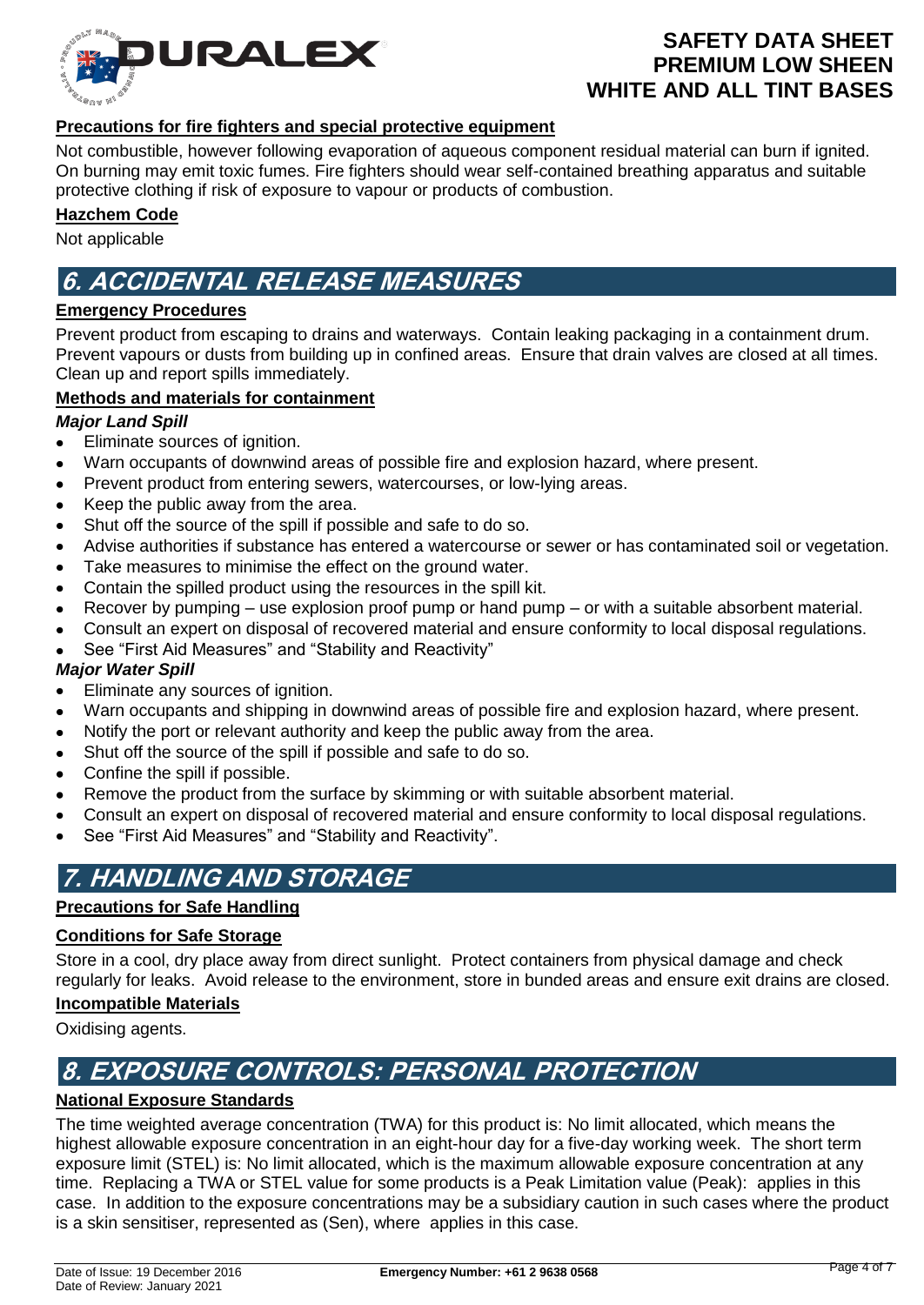

### **Precautions for fire fighters and special protective equipment**

Not combustible, however following evaporation of aqueous component residual material can burn if ignited. On burning may emit toxic fumes. Fire fighters should wear self-contained breathing apparatus and suitable protective clothing if risk of exposure to vapour or products of combustion.

#### **Hazchem Code**

Not applicable

## **6. ACCIDENTAL RELEASE MEASURES**

#### **Emergency Procedures**

Prevent product from escaping to drains and waterways. Contain leaking packaging in a containment drum. Prevent vapours or dusts from building up in confined areas. Ensure that drain valves are closed at all times. Clean up and report spills immediately.

### **Methods and materials for containment**

#### *Major Land Spill*

- Eliminate sources of ignition.
- Warn occupants of downwind areas of possible fire and explosion hazard, where present.
- Prevent product from entering sewers, watercourses, or low-lying areas.
- Keep the public away from the area.
- Shut off the source of the spill if possible and safe to do so.
- Advise authorities if substance has entered a watercourse or sewer or has contaminated soil or vegetation.
- Take measures to minimise the effect on the ground water.
- Contain the spilled product using the resources in the spill kit.
- Recover by pumping use explosion proof pump or hand pump or with a suitable absorbent material.
- Consult an expert on disposal of recovered material and ensure conformity to local disposal regulations.
- See "First Aid Measures" and "Stability and Reactivity"

#### *Major Water Spill*

- Eliminate any sources of ignition.
- Warn occupants and shipping in downwind areas of possible fire and explosion hazard, where present.
- Notify the port or relevant authority and keep the public away from the area.
- Shut off the source of the spill if possible and safe to do so.
- Confine the spill if possible.
- Remove the product from the surface by skimming or with suitable absorbent material.
- Consult an expert on disposal of recovered material and ensure conformity to local disposal regulations.
- See "First Aid Measures" and "Stability and Reactivity".

# **7. HANDLING AND STORAGE**

### **Precautions for Safe Handling**

#### **Conditions for Safe Storage**

Store in a cool, dry place away from direct sunlight. Protect containers from physical damage and check regularly for leaks. Avoid release to the environment, store in bunded areas and ensure exit drains are closed.

#### **Incompatible Materials**

Oxidising agents.

## **8. EXPOSURE CONTROLS: PERSONAL PROTECTION**

## **National Exposure Standards**

The time weighted average concentration (TWA) for this product is: No limit allocated, which means the highest allowable exposure concentration in an eight-hour day for a five-day working week. The short term exposure limit (STEL) is: No limit allocated, which is the maximum allowable exposure concentration at any time. Replacing a TWA or STEL value for some products is a Peak Limitation value (Peak): applies in this case. In addition to the exposure concentrations may be a subsidiary caution in such cases where the product is a skin sensitiser, represented as (Sen), where applies in this case.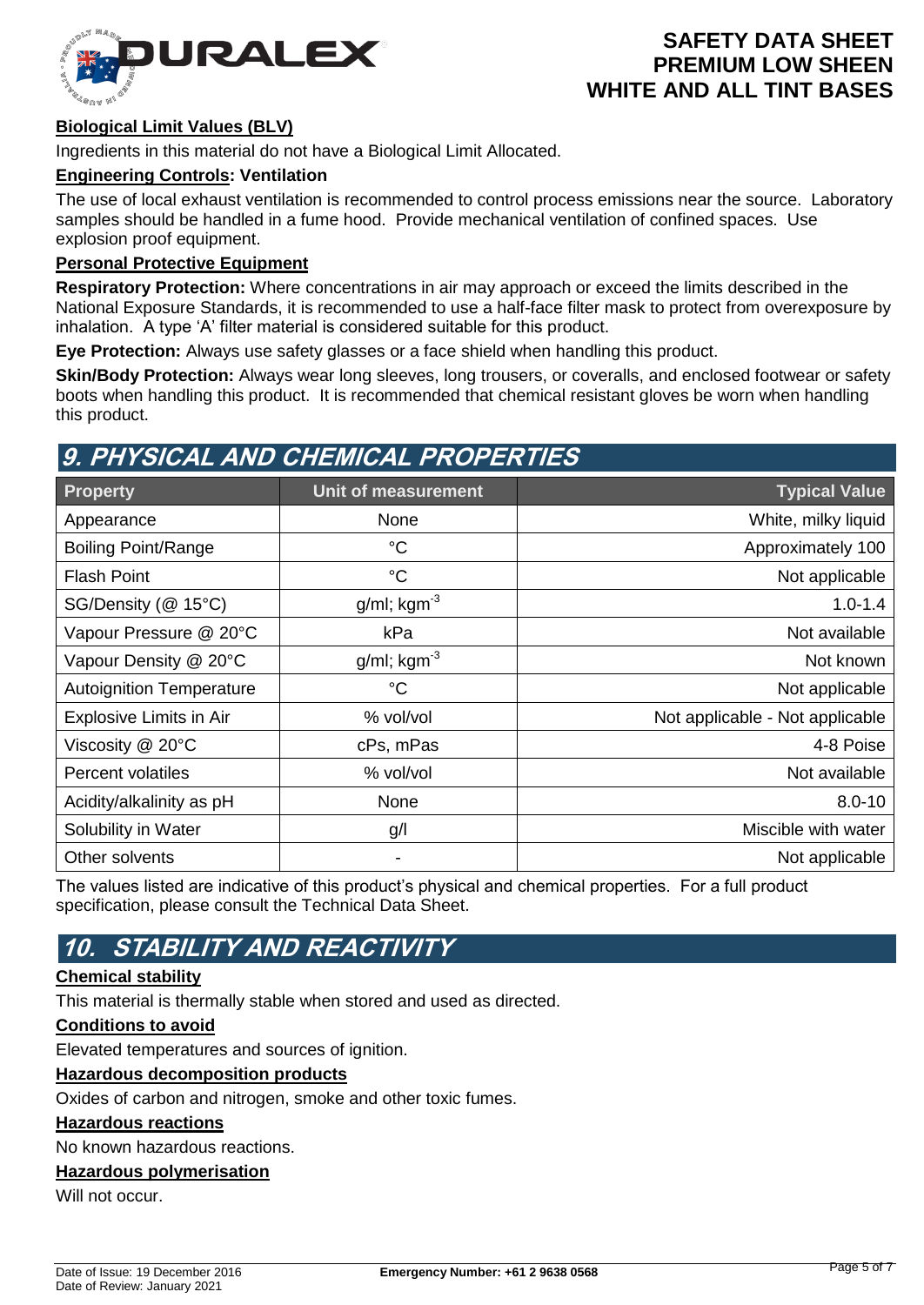

## **Biological Limit Values (BLV)**

Ingredients in this material do not have a Biological Limit Allocated.

#### **Engineering Controls: Ventilation**

The use of local exhaust ventilation is recommended to control process emissions near the source. Laboratory samples should be handled in a fume hood. Provide mechanical ventilation of confined spaces. Use explosion proof equipment.

## **Personal Protective Equipment**

**Respiratory Protection:** Where concentrations in air may approach or exceed the limits described in the National Exposure Standards, it is recommended to use a half-face filter mask to protect from overexposure by inhalation. A type 'A' filter material is considered suitable for this product.

**Eye Protection:** Always use safety glasses or a face shield when handling this product.

**Skin/Body Protection:** Always wear long sleeves, long trousers, or coveralls, and enclosed footwear or safety boots when handling this product. It is recommended that chemical resistant gloves be worn when handling this product.

## **9. PHYSICAL AND CHEMICAL PROPERTIES**

| Property                        | Unit of measurement        | <b>Typical Value</b>            |
|---------------------------------|----------------------------|---------------------------------|
| Appearance                      | None                       | White, milky liquid             |
| <b>Boiling Point/Range</b>      | $^{\circ}C$                | Approximately 100               |
| <b>Flash Point</b>              | $^{\circ}C$                | Not applicable                  |
| SG/Density (@ 15°C)             | $g/ml$ ; kgm <sup>-3</sup> | $1.0 - 1.4$                     |
| Vapour Pressure @ 20°C          | kPa                        | Not available                   |
| Vapour Density @ 20°C           | $g/ml$ ; kgm <sup>-3</sup> | Not known                       |
| <b>Autoignition Temperature</b> | $^{\circ}C$                | Not applicable                  |
| Explosive Limits in Air         | % vol/vol                  | Not applicable - Not applicable |
| Viscosity $@$ 20 $°C$           | cPs, mPas                  | 4-8 Poise                       |
| <b>Percent volatiles</b>        | % vol/vol                  | Not available                   |
| Acidity/alkalinity as pH        | None                       | $8.0 - 10$                      |
| Solubility in Water             | g/l                        | Miscible with water             |
| Other solvents                  | -                          | Not applicable                  |

The values listed are indicative of this product's physical and chemical properties. For a full product specification, please consult the Technical Data Sheet.

## **10. STABILITY AND REACTIVITY**

### **Chemical stability**

This material is thermally stable when stored and used as directed.

#### **Conditions to avoid**

Elevated temperatures and sources of ignition.

#### **Hazardous decomposition products**

Oxides of carbon and nitrogen, smoke and other toxic fumes.

#### **Hazardous reactions**

No known hazardous reactions.

### **Hazardous polymerisation**

Will not occur.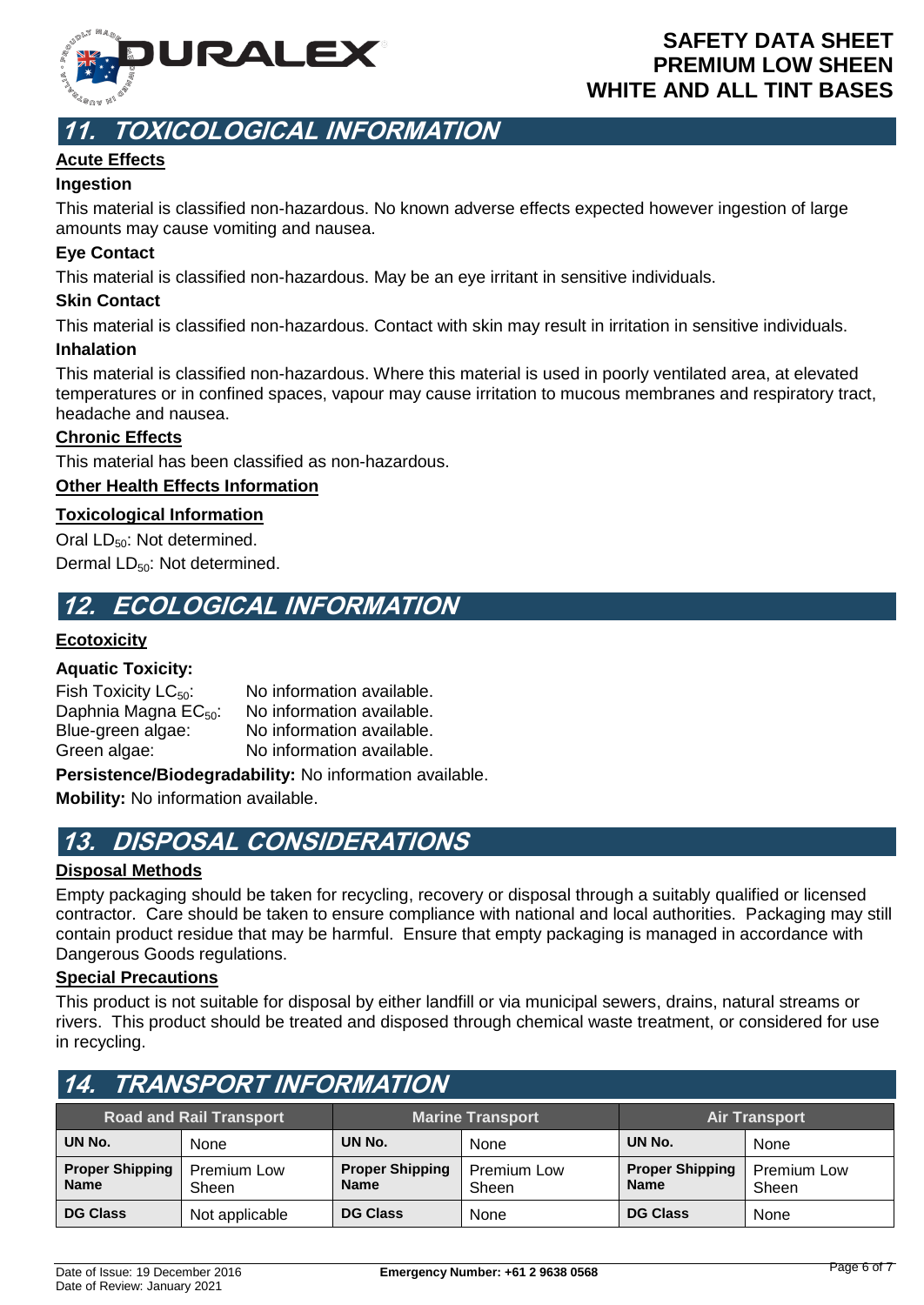

# **11. TOXICOLOGICAL INFORMATION**

## **Acute Effects**

## **Ingestion**

This material is classified non-hazardous. No known adverse effects expected however ingestion of large amounts may cause vomiting and nausea.

## **Eye Contact**

This material is classified non-hazardous. May be an eye irritant in sensitive individuals.

### **Skin Contact**

This material is classified non-hazardous. Contact with skin may result in irritation in sensitive individuals.

### **Inhalation**

This material is classified non-hazardous. Where this material is used in poorly ventilated area, at elevated temperatures or in confined spaces, vapour may cause irritation to mucous membranes and respiratory tract, headache and nausea.

## **Chronic Effects**

This material has been classified as non-hazardous.

## **Other Health Effects Information**

## **Toxicological Information**

Oral  $LD_{50}$ : Not determined. Dermal LD<sub>50</sub>: Not determined.

## **12. ECOLOGICAL INFORMATION**

## **Ecotoxicity**

## **Aquatic Toxicity:**

| Fish Toxicity $LC_{50}$ :        | No information available. |
|----------------------------------|---------------------------|
| Daphnia Magna EC <sub>50</sub> : | No information available. |
| Blue-green algae:                | No information available. |
| Green algae:                     | No information available. |

**Persistence/Biodegradability:** No information available.

**Mobility:** No information available.

## **13. DISPOSAL CONSIDERATIONS**

## **Disposal Methods**

Empty packaging should be taken for recycling, recovery or disposal through a suitably qualified or licensed contractor. Care should be taken to ensure compliance with national and local authorities. Packaging may still contain product residue that may be harmful. Ensure that empty packaging is managed in accordance with Dangerous Goods regulations.

#### **Special Precautions**

This product is not suitable for disposal by either landfill or via municipal sewers, drains, natural streams or rivers. This product should be treated and disposed through chemical waste treatment, or considered for use in recycling.

| 14. TRANSPORT INFORMATION                                                         |                      |                                       |                      |                                       |                      |  |
|-----------------------------------------------------------------------------------|----------------------|---------------------------------------|----------------------|---------------------------------------|----------------------|--|
| <b>Road and Rail Transport</b><br><b>Marine Transport</b><br><b>Air Transport</b> |                      |                                       |                      |                                       |                      |  |
| UN No.                                                                            | None                 | UN No.                                | None                 | UN No.                                | None                 |  |
| <b>Proper Shipping</b><br><b>Name</b>                                             | Premium Low<br>Sheen | <b>Proper Shipping</b><br><b>Name</b> | Premium Low<br>Sheen | <b>Proper Shipping</b><br><b>Name</b> | Premium Low<br>Sheen |  |
| <b>DG Class</b>                                                                   | Not applicable       | <b>DG Class</b>                       | None                 | <b>DG Class</b>                       | None                 |  |